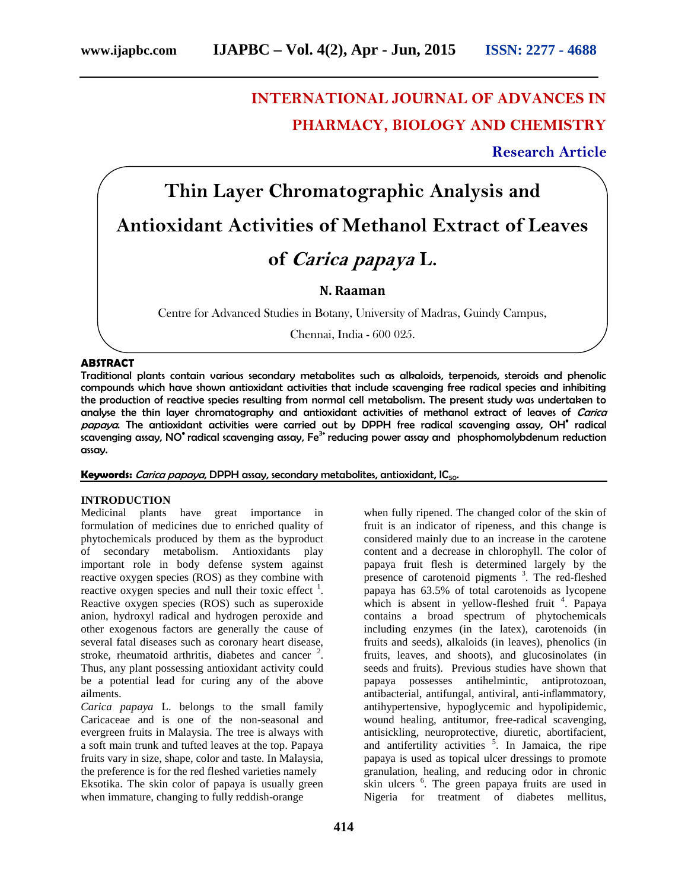# **INTERNATIONAL JOURNAL OF ADVANCES IN PHARMACY, BIOLOGY AND CHEMISTRY**

**Research Article**

# **Thin Layer Chromatographic Analysis and Antioxidant Activities of Methanol Extract of Leaves**

# **of** *Carica papaya* **L.**

# **N. Raaman**

Centre for Advanced Studies in Botany, University of Madras, Guindy Campus,

Chennai, India - 600 025.

#### **ABSTRACT**

Traditional plants contain various secondary metabolites such as alkaloids, terpenoids, steroids and phenolic compounds which have shown antioxidant activities that include scavenging free radical species and inhibiting the production of reactive species resulting from normal cell metabolism. The present study was undertaken to analyse the thin layer chromatography and antioxidant activities of methanol extract of leaves of *Carica papaya*. The antioxidant activities were carried out by DPPH free radical scavenging assay, OH• radical  $\mathsf{s}$ cavenging assay, NO $^\bullet$  radical scavenging assay, Fe $^\mathrm{3+}$  reducing power assay and phosphomolybdenum reduction assay.

# **Keywords:** *Carica papaya*, DPPH assay, secondary metabolites, antioxidant, IC50.

#### **INTRODUCTION**

Medicinal plants have great importance in formulation of medicines due to enriched quality of phytochemicals produced by them as the byproduct of secondary metabolism. Antioxidants play important role in body defense system against reactive oxygen species (ROS) as they combine with reactive oxygen species and null their toxic effect  $\frac{1}{1}$ . Reactive oxygen species (ROS) such as superoxide anion, hydroxyl radical and hydrogen peroxide and other exogenous factors are generally the cause of several fatal diseases such as coronary heart disease, stroke, rheumatoid arthritis, diabetes and cancer  $2$ . Thus, any plant possessing antioxidant activity could be a potential lead for curing any of the above ailments.

*Carica papaya* L. belongs to the small family Caricaceae and is one of the non-seasonal and evergreen fruits in Malaysia. The tree is always with a soft main trunk and tufted leaves at the top. Papaya fruits vary in size, shape, color and taste. In Malaysia, the preference is for the red fleshed varieties namely Eksotika. The skin color of papaya is usually green when immature, changing to fully reddish-orange

when fully ripened. The changed color of the skin of fruit is an indicator of ripeness, and this change is considered mainly due to an increase in the carotene content and a decrease in chlorophyll. The color of papaya fruit flesh is determined largely by the presence of carotenoid pigments<sup>3</sup>. The red-fleshed papaya has 63.5% of total carotenoids as lycopene which is absent in yellow-fleshed fruit  $4$ . Papaya contains a broad spectrum of phytochemicals including enzymes (in the latex), carotenoids (in fruits and seeds), alkaloids (in leaves), phenolics (in fruits, leaves, and shoots), and glucosinolates (in seeds and fruits). Previous studies have shown that papaya possesses antihelmintic, antiprotozoan, antibacterial, antifungal, antiviral, anti-inflammatory, antihypertensive, hypoglycemic and hypolipidemic, wound healing, antitumor, free-radical scavenging, antisickling, neuroprotective, diuretic, abortifacient, and antifertility activities <sup>5</sup>. In Jamaica, the ripe papaya is used as topical ulcer dressings to promote granulation, healing, and reducing odor in chronic skin ulcers <sup>6</sup>. The green papaya fruits are used in Nigeria for treatment of diabetes mellitus,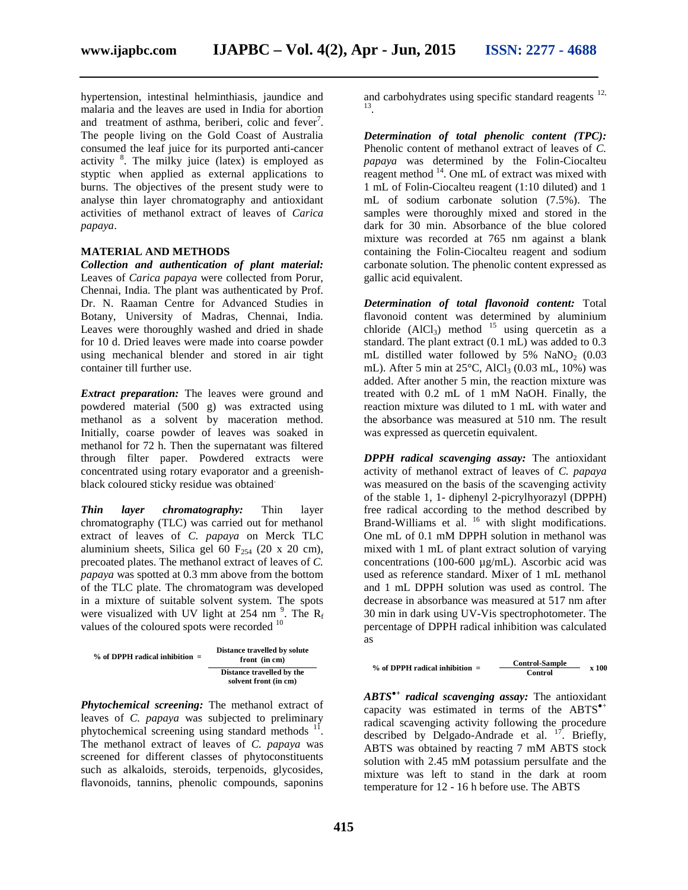hypertension, intestinal helminthiasis, jaundice and malaria and the leaves are used in India for abortion and treatment of asthma, beriberi, colic and  $fever^7$ . The people living on the Gold Coast of Australia consumed the leaf juice for its purported anti-cancer activity  $\frac{8}{3}$ . The milky juice (latex) is employed as styptic when applied as external applications to burns. The objectives of the present study were to analyse thin layer chromatography and antioxidant activities of methanol extract of leaves of *Carica papaya*.

#### **MATERIAL AND METHODS**

*Collection and authentication of plant material:* Leaves of *Carica papaya* were collected from Porur, Chennai, India. The plant was authenticated by Prof. Dr. N. Raaman Centre for Advanced Studies in Botany, University of Madras, Chennai, India. Leaves were thoroughly washed and dried in shade for 10 d. Dried leaves were made into coarse powder using mechanical blender and stored in air tight container till further use.

*Extract preparation:* The leaves were ground and powdered material (500 g) was extracted using methanol as a solvent by maceration method. Initially, coarse powder of leaves was soaked in methanol for 72 h. Then the supernatant was filtered through filter paper. Powdered extracts were concentrated using rotary evaporator and a greenish black coloured sticky residue was obtained.

*Thin layer chromatography:* Thin layer chromatography (TLC) was carried out for methanol extract of leaves of *C. papaya* on Merck TLC aluminium sheets, Silica gel 60  $F_{254}$  (20 x 20 cm), precoated plates. The methanol extract of leaves of *C. papaya* was spotted at 0.3 mm above from the bottom of the TLC plate. The chromatogram was developed in a mixture of suitable solvent system. The spots were visualized with UV light at 254 nm<sup>9</sup>. The  $R_f$ values of the coloured spots were recorded <sup>10</sup>

| $%$ of DPPH radical inhibition $=$ | Distance travelled by solute<br>front (in cm)      |  |
|------------------------------------|----------------------------------------------------|--|
|                                    | Distance travelled by the<br>solvent front (in cm) |  |

*Phytochemical screening:* The methanol extract of leaves of *C. papaya* was subjected to preliminary phytochemical screening using standard methods <sup>11</sup>. The methanol extract of leaves of *C. papaya* was screened for different classes of phytoconstituents such as alkaloids, steroids, terpenoids, glycosides, flavonoids, tannins, phenolic compounds, saponins

and carbohydrates using specific standard reagents  $12$ , .

*Determination of total phenolic content (TPC):* Phenolic content of methanol extract of leaves of *C. papaya* was determined by the Folin-Ciocalteu reagent method  $14$ . One mL of extract was mixed with 1 mL of Folin-Ciocalteu reagent (1:10 diluted) and 1 mL of sodium carbonate solution (7.5%). The samples were thoroughly mixed and stored in the dark for 30 min. Absorbance of the blue colored mixture was recorded at 765 nm against a blank containing the Folin-Ciocalteu reagent and sodium carbonate solution. The phenolic content expressed as gallic acid equivalent.

*Determination of total flavonoid content:* Total flavonoid content was determined by aluminium chloride  $(AlCl<sub>3</sub>)$  method <sup>15</sup> using quercetin as a standard. The plant extract (0.1 mL) was added to 0.3 mL distilled water followed by  $5\%$  NaNO<sub>2</sub> (0.03) mL). After 5 min at  $25^{\circ}$ C, AlCl<sub>3</sub> (0.03 mL, 10%) was added. After another 5 min, the reaction mixture was treated with 0.2 mL of 1 mM NaOH. Finally, the reaction mixture was diluted to 1 mL with water and the absorbance was measured at 510 nm. The result was expressed as quercetin equivalent.

*DPPH radical scavenging assay:* The antioxidant activity of methanol extract of leaves of *C. papaya* was measured on the basis of the scavenging activity of the stable 1, 1- diphenyl 2-picrylhyorazyl (DPPH) free radical according to the method described by Brand-Williams et al. <sup>16</sup> with slight modifications. One mL of 0.1 mM DPPH solution in methanol was mixed with 1 mL of plant extract solution of varying concentrations (100-600 µg/mL). Ascorbic acid was used as reference standard. Mixer of 1 mL methanol and 1 mL DPPH solution was used as control. The decrease in absorbance was measured at 517 nm after 30 min in dark using UV-Vis spectrophotometer. The percentage of DPPH radical inhibition was calculated as

% of DPPH radical inhibition = 
$$
\frac{\text{Control-Sample}}{\text{Control}}
$$
 x 100

*ABTS●+ radical scavenging assay:* The antioxidant capacity was estimated in terms of the ABTS radical scavenging activity following the procedure described by Delgado-Andrade et al. <sup>17</sup>. Briefly, ABTS was obtained by reacting 7 mM ABTS stock solution with 2.45 mM potassium persulfate and the mixture was left to stand in the dark at room temperature for 12 - 16 h before use. The ABTS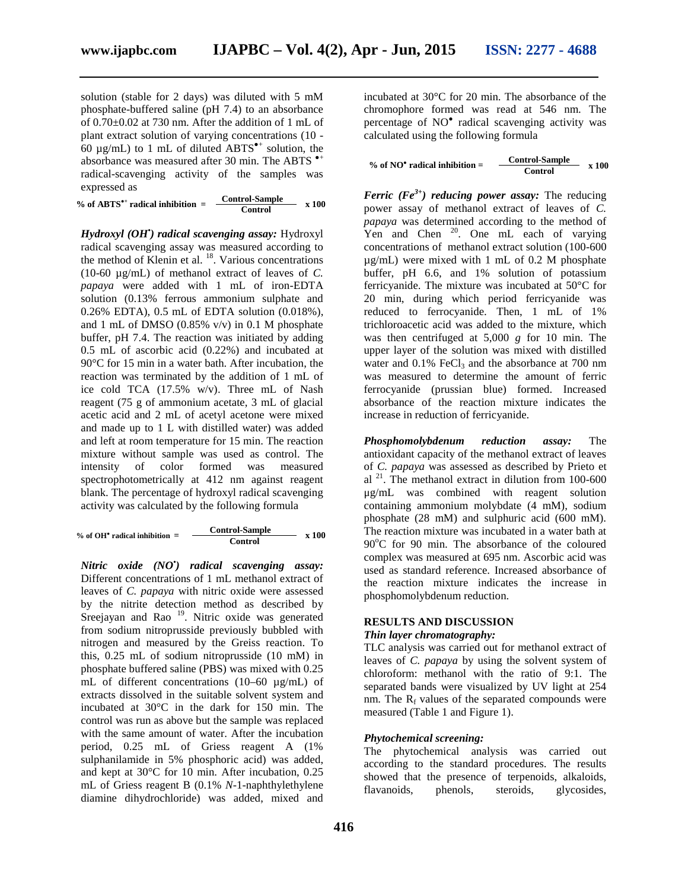solution (stable for 2 days) was diluted with 5 mM phosphate-buffered saline (pH 7.4) to an absorbance of 0.70±0.02 at 730 nm. After the addition of 1 mL of plant extract solution of varying concentrations (10 - 60  $\mu$ g/mL) to 1 mL of diluted ABTS  $^+$  solution, the absorbance was measured after 30 min. The ABTS radical-scavenging activity of the samples was expressed as

| $%$ of ABTS $+$ radical inhibition | <b>Control-Sample</b> | x 100 |
|------------------------------------|-----------------------|-------|
|                                    | Control               |       |

*Hydroxyl (OH•) radical scavenging assay:* Hydroxyl radical scavenging assay was measured according to the method of Klenin et al.  $^{18}$ . Various concentrations (10-60 µg/mL) of methanol extract of leaves of *C. papaya* were added with 1 mL of iron-EDTA solution (0.13% ferrous ammonium sulphate and 0.26% EDTA), 0.5 mL of EDTA solution (0.018%), and 1 mL of DMSO (0.85% v/v) in 0.1 M phosphate buffer, pH 7.4. The reaction was initiated by adding 0.5 mL of ascorbic acid (0.22%) and incubated at 90°C for 15 min in a water bath. After incubation, the reaction was terminated by the addition of 1 mL of ice cold TCA (17.5% w/v). Three mL of Nash reagent (75 g of ammonium acetate, 3 mL of glacial acetic acid and 2 mL of acetyl acetone were mixed and made up to 1 L with distilled water) was added and left at room temperature for 15 min. The reaction mixture without sample was used as control. The intensity of color formed was measured spectrophotometrically at 412 nm against reagent blank. The percentage of hydroxyl radical scavenging activity was calculated by the following formula

|                                | <b>Control-Sample</b> | x 100 |  |
|--------------------------------|-----------------------|-------|--|
| % of OH radical inhibition $=$ | Control               |       |  |

*Nitric oxide (NO•) radical scavenging assay:* Different concentrations of 1 mL methanol extract of leaves of *C. papaya* with nitric oxide were assessed by the nitrite detection method as described by Sreejayan and Rao <sup>19</sup>. Nitric oxide was generated from sodium nitroprusside previously bubbled with nitrogen and measured by the Greiss reaction. To this, 0.25 mL of sodium nitroprusside (10 mM) in phosphate buffered saline (PBS) was mixed with 0.25 mL of different concentrations (10–60 µg/mL) of extracts dissolved in the suitable solvent system and incubated at 30°C in the dark for 150 min. The control was run as above but the sample was replaced with the same amount of water. After the incubation period, 0.25 mL of Griess reagent A (1% sulphanilamide in 5% phosphoric acid) was added, and kept at 30°C for 10 min. After incubation, 0.25 mL of Griess reagent B (0.1% *N*-1-naphthylethylene diamine dihydrochloride) was added, mixed and

incubated at 30°C for 20 min. The absorbance of the chromophore formed was read at 546 nm. The percentage of NO radical scavenging activity was calculated using the following formula

% of NO radical inhibition = 
$$
\frac{\text{Control-Sample}}{\text{Control}}
$$
 x 100

*Ferric (Fe3+) reducing power assay:* The reducing power assay of methanol extract of leaves of *C. papaya* was determined according to the method of  $Y_{\rm en}$  and Chen<sup>20</sup>. One mL each of varying concentrations of methanol extract solution (100-600 µg/mL) were mixed with 1 mL of 0.2 M phosphate buffer, pH 6.6, and 1% solution of potassium ferricyanide. The mixture was incubated at 50°C for 20 min, during which period ferricyanide was reduced to ferrocyanide. Then, 1 mL of 1% trichloroacetic acid was added to the mixture, which was then centrifuged at 5,000 *g* for 10 min. The upper layer of the solution was mixed with distilled water and  $0.1\%$  FeCl<sub>3</sub> and the absorbance at 700 nm was measured to determine the amount of ferric ferrocyanide (prussian blue) formed. Increased absorbance of the reaction mixture indicates the increase in reduction of ferricyanide.

*Phosphomolybdenum reduction assay:* The antioxidant capacity of the methanol extract of leaves of *C. papaya* was assessed as described by Prieto et al <sup>21</sup>. The methanol extract in dilution from 100-600 μg/mL was combined with reagent solution containing ammonium molybdate (4 mM), sodium phosphate (28 mM) and sulphuric acid (600 mM). The reaction mixture was incubated in a water bath at  $90^{\circ}$ C for 90 min. The absorbance of the coloured complex was measured at 695 nm. Ascorbic acid was used as standard reference. Increased absorbance of the reaction mixture indicates the increase in phosphomolybdenum reduction.

#### **RESULTS AND DISCUSSION** *Thin layer chromatography:*

TLC analysis was carried out for methanol extract of leaves of *C. papaya* by using the solvent system of chloroform: methanol with the ratio of 9:1. The separated bands were visualized by UV light at 254 nm. The  $R_f$  values of the separated compounds were measured (Table 1 and Figure 1).

### *Phytochemical screening:*

The phytochemical analysis was carried out according to the standard procedures. The results showed that the presence of terpenoids, alkaloids, flavanoids, phenols, steroids, glycosides,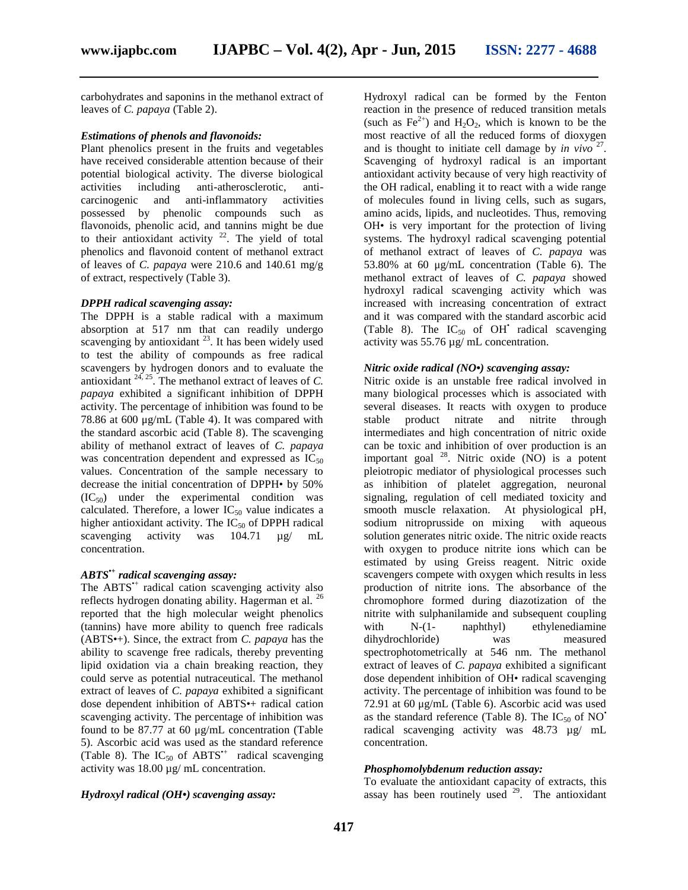carbohydrates and saponins in the methanol extract of leaves of *C. papaya* (Table 2).

#### *Estimations of phenols and flavonoids:*

Plant phenolics present in the fruits and vegetables have received considerable attention because of their potential biological activity. The diverse biological activities including anti-atherosclerotic, anti carcinogenic and anti-inflammatory activities possessed by phenolic compounds such as flavonoids, phenolic acid, and tannins might be due to their antioxidant activity  $22$ . The yield of total phenolics and flavonoid content of methanol extract of leaves of *C. papaya* were 210.6 and 140.61 mg/g of extract, respectively (Table 3).

#### *DPPH radical scavenging assay:*

The DPPH is a stable radical with a maximum absorption at 517 nm that can readily undergo scavenging by antioxidant  $2<sup>3</sup>$ . It has been widely used to test the ability of compounds as free radical scavengers by hydrogen donors and to evaluate the antioxidant  $24, 25$ . The methanol extract of leaves of *C*. *papaya* exhibited a significant inhibition of DPPH activity. The percentage of inhibition was found to be 78.86 at 600 μg/mL (Table 4). It was compared with the standard ascorbic acid (Table 8). The scavenging ability of methanol extract of leaves of *C. papaya* was concentration dependent and expressed as  $IC_{50}$ values. Concentration of the sample necessary to decrease the initial concentration of DPPH• by 50%  $(IC_{50})$  under the experimental condition was calculated. Therefore, a lower  $IC_{50}$  value indicates a higher antioxidant activity. The  $IC_{50}$  of DPPH radical scavenging activity was 104.71  $\mu$ g/ mL scavenging activity was 104.71  $\mu$ g/ mL concentration.

# *ABTS•+ radical scavenging assay:*

The ABTS<sup>\*+</sup> radical cation scavenging activity also reflects hydrogen donating ability. Hagerman et al. <sup>26</sup> reported that the high molecular weight phenolics (tannins) have more ability to quench free radicals (ABTS•+). Since, the extract from *C. papaya* has the ability to scavenge free radicals, thereby preventing lipid oxidation via a chain breaking reaction, they could serve as potential nutraceutical. The methanol extract of leaves of *C. papaya* exhibited a significant dose dependent inhibition of ABTS•+ radical cation scavenging activity. The percentage of inhibition was found to be 87.77 at 60 μg/mL concentration (Table 5). Ascorbic acid was used as the standard reference (Table 8). The  $IC_{50}$  of ABTS<sup>\*+</sup> radical scavenging activity was 18.00 µg/ mL concentration.

#### *Hydroxyl radical (OH•) scavenging assay:*

Hydroxyl radical can be formed by the Fenton reaction in the presence of reduced transition metals (such as  $\text{Fe}^{2+}$ ) and  $\text{H}_2\text{O}_2$ , which is known to be the most reactive of all the reduced forms of dioxygen and is thought to initiate cell damage by *in vivo* <sup>27</sup>. Scavenging of hydroxyl radical is an important antioxidant activity because of very high reactivity of the OH radical, enabling it to react with a wide range of molecules found in living cells, such as sugars, amino acids, lipids, and nucleotides. Thus, removing OH• is very important for the protection of living systems. The hydroxyl radical scavenging potential of methanol extract of leaves of *C. papaya* was 53.80% at 60 μg/mL concentration (Table 6). The methanol extract of leaves of *C. papaya* showed hydroxyl radical scavenging activity which was increased with increasing concentration of extract and it was compared with the standard ascorbic acid (Table 8). The  $IC_{50}$  of OH<sup>\*</sup> radical scavenging activity was 55.76 µg/ mL concentration.

#### *Nitric oxide radical (NO•) scavenging assay:*

Nitric oxide is an unstable free radical involved in many biological processes which is associated with several diseases. It reacts with oxygen to produce product nitrate and nitrite through intermediates and high concentration of nitric oxide can be toxic and inhibition of over production is an important goal  $^{28}$ . Nitric oxide (NO) is a potent pleiotropic mediator of physiological processes such as inhibition of platelet aggregation, neuronal signaling, regulation of cell mediated toxicity and smooth muscle relaxation. At physiological pH, sodium nitroprusside on mixing with aqueous solution generates nitric oxide. The nitric oxide reacts with oxygen to produce nitrite ions which can be estimated by using Greiss reagent. Nitric oxide scavengers compete with oxygen which results in less production of nitrite ions. The absorbance of the chromophore formed during diazotization of the nitrite with sulphanilamide and subsequent coupling with N-(1- naphthyl) ethylenediamine dihydrochloride) was measured spectrophotometrically at 546 nm. The methanol extract of leaves of *C. papaya* exhibited a significant dose dependent inhibition of OH• radical scavenging activity. The percentage of inhibition was found to be 72.91 at 60 μg/mL (Table 6). Ascorbic acid was used as the standard reference (Table 8). The  $IC_{50}$  of NO<sup>•</sup> radical scavenging activity was 48.73 µg/ mL concentration.

#### *Phosphomolybdenum reduction assay:*

To evaluate the antioxidant capacity of extracts, this assay has been routinely used  $29$ . The antioxidant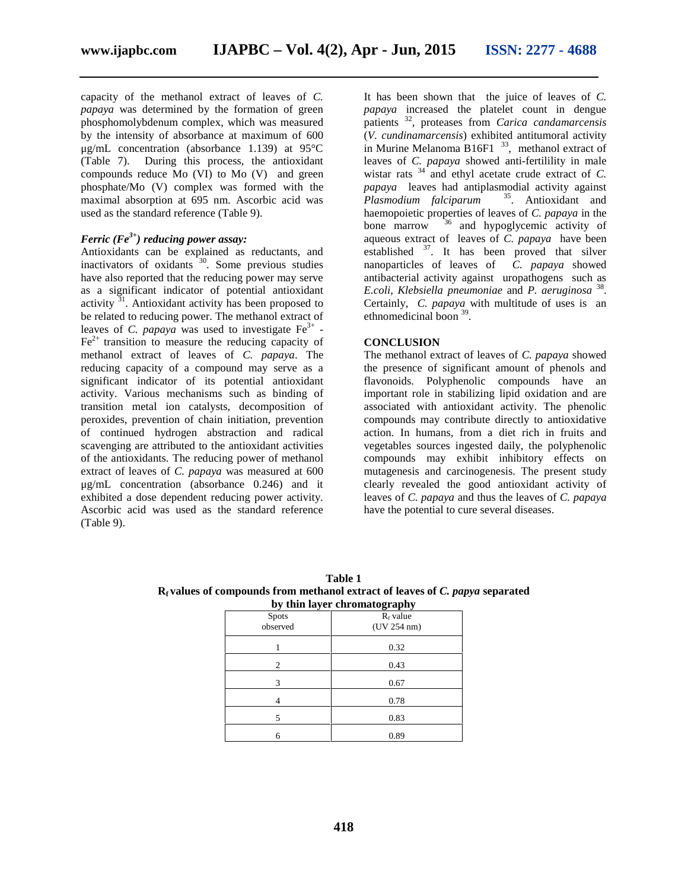capacity of the methanol extract of leaves of *C. papaya* was determined by the formation of green phosphomolybdenum complex, which was measured by the intensity of absorbance at maximum of 600 μg/mL concentration (absorbance 1.139) at 95°C (Table 7). During this process, the antioxidant compounds reduce Mo (VI) to Mo (V) and green phosphate/Mo (V) complex was formed with the maximal absorption at 695 nm. Ascorbic acid was used as the standard reference (Table 9).

#### *Ferric (Fe3+) reducing power assay:*

Antioxidants can be explained as reductants, and inactivators of oxidants  $30$ . Some previous studies have also reported that the reducing power may serve as a significant indicator of potential antioxidant activity  $31$ . Antioxidant activity has been proposed to be related to reducing power. The methanol extract of leaves of *C. papaya* was used to investigate  $Fe^{3+}$  - $Fe<sup>2+</sup>$  transition to measure the reducing capacity of methanol extract of leaves of *C. papaya*. The reducing capacity of a compound may serve as a significant indicator of its potential antioxidant activity. Various mechanisms such as binding of transition metal ion catalysts, decomposition of peroxides, prevention of chain initiation, prevention of continued hydrogen abstraction and radical scavenging are attributed to the antioxidant activities of the antioxidants. The reducing power of methanol extract of leaves of *C. papaya* was measured at 600 μg/mL concentration (absorbance 0.246) and it exhibited a dose dependent reducing power activity. Ascorbic acid was used as the standard reference (Table 9).

It has been shown that the juice of leaves of *C. papaya* increased the platelet count in dengue patients <sup>32</sup> , proteases from *Carica candamarcensis* (*V. cundinamarcensis*) exhibited antitumoral activity in Murine Melanoma  $B16F1$ <sup>33</sup>, methanol extract of leaves of *C. papaya* showed anti-fertilility in male wistar rats  $34 \text{ and }$  ethyl acetate crude extract of *C*. *papaya* leaves had antiplasmodial activity against *Plasmodium falciparum* <sup>35</sup> . Antioxidant and haemopoietic properties of leaves of *C. papaya* in the bone marrow  $^{36}$  and hypoglycemic activity of aqueous extract of leaves of *C. papaya* have been established  $3^7$ . It has been proved that silver nanoparticles of leaves of *C. papaya* showed antibacterial activity against uropathogens such as *E.coli, Klebsiella pneumoniae* and *P. aeruginosa* <sup>38</sup> . Certainly, *C. papaya* with multitude of uses is an ethnomedicinal boon <sup>39</sup>.

#### **CONCLUSION**

The methanol extract of leaves of *C. papaya* showed the presence of significant amount of phenols and flavonoids. Polyphenolic compounds have an important role in stabilizing lipid oxidation and are associated with antioxidant activity. The phenolic compounds may contribute directly to antioxidative action. In humans, from a diet rich in fruits and vegetables sources ingested daily, the polyphenolic compounds may exhibit inhibitory effects on mutagenesis and carcinogenesis. The present study clearly revealed the good antioxidant activity of leaves of *C. papaya* and thus the leaves of *C. papaya* have the potential to cure several diseases.

| Table 1                                                                                         |  |
|-------------------------------------------------------------------------------------------------|--|
| R <sub>f</sub> values of compounds from methanol extract of leaves of C. <i>papya</i> separated |  |
| by thin loven chnomotography                                                                    |  |

| by thin layer chromatography |             |  |
|------------------------------|-------------|--|
| <b>Spots</b>                 | $R_f$ value |  |
| observed                     | (UV 254 nm) |  |
|                              | 0.32        |  |
| 2                            | 0.43        |  |
| 3                            | 0.67        |  |
|                              | 0.78        |  |
| 5                            | 0.83        |  |
| 6                            | 0.89        |  |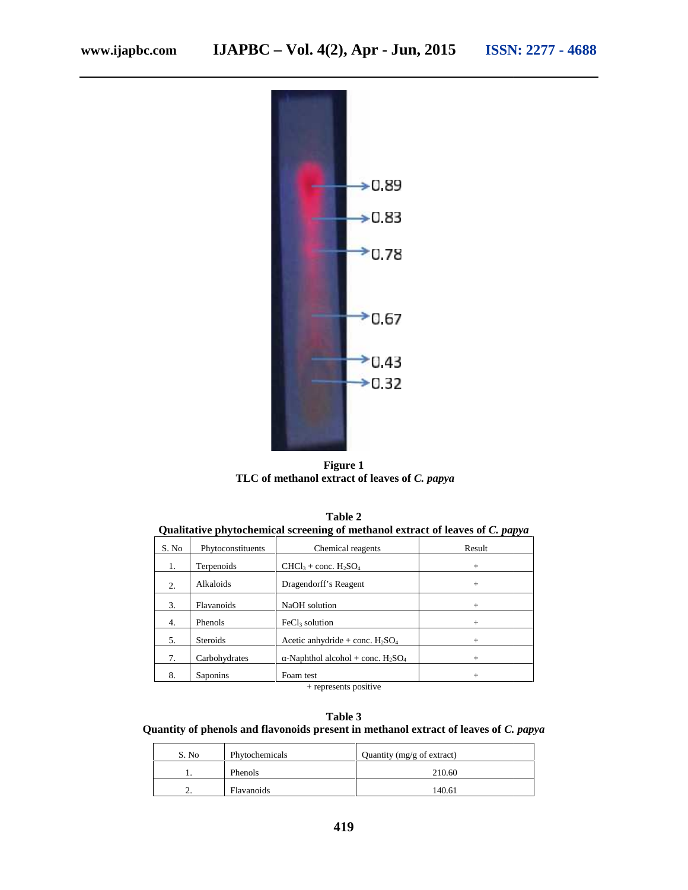

**Figure 1 TLC of methanol extract of leaves of** *C. papya*

| Ouantauve phytochemical screening of methanol extract of leaves of C. <i>papya</i> |                       |                                     |        |  |  |
|------------------------------------------------------------------------------------|-----------------------|-------------------------------------|--------|--|--|
| S. No                                                                              | Phytoconstituents     | Chemical reagents                   | Result |  |  |
| 1.                                                                                 | Terpenoids            | $CHCl3 + conc. H2SO4$               | $^{+}$ |  |  |
| 2.                                                                                 | Alkaloids             | Dragendorff's Reagent               | $^{+}$ |  |  |
| 3.                                                                                 | <b>Flavanoids</b>     | NaOH solution                       | $^{+}$ |  |  |
| 4.                                                                                 | <b>Phenols</b>        | $FeCl3$ solution                    | $^{+}$ |  |  |
| 5.                                                                                 | <b>Steroids</b>       | Acetic anhydride + conc. $H_2SO_4$  | $^{+}$ |  |  |
| 7.                                                                                 | Carbohydrates         | -Naphthol alcohol + conc. $H_2SO_4$ | $^{+}$ |  |  |
| 8.                                                                                 | Saponins              | Foam test                           | $^{+}$ |  |  |
|                                                                                    | + represents positive |                                     |        |  |  |

**Table 2**<br>Oualitative phytochemical screening of met **Qualitative phytochemical screening of methanol extract of leaves of** *C. papya C.*   $Table 2$ 

**Table 3 Quantity of phenols and flavonoids present in methanol extract of leaves of** *C. papya* **and** 

| S. No | Quantity (mg/g of extract)<br>Phytochemicals |        |
|-------|----------------------------------------------|--------|
|       | Phenols                                      | 210.60 |
| ٠.    | Flavanoids                                   | 140.61 |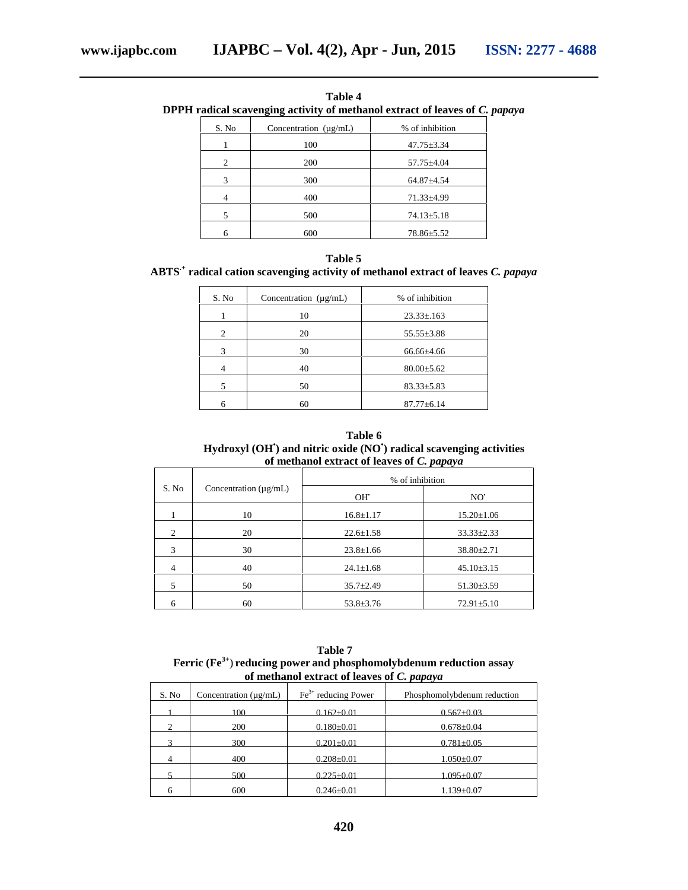| <b>Table 4</b> |                                                                             |                 |  |  |
|----------------|-----------------------------------------------------------------------------|-----------------|--|--|
|                | DPPH radical scavenging activity of methanol extract of leaves of C. papaya |                 |  |  |
| S. No          | Concentration $(\mu \rho /mL)$                                              | % of inhibition |  |  |

| S. No | Concentration $(\mu \varrho/mL)$ | % of inhibition  |
|-------|----------------------------------|------------------|
|       | 100                              | $47.75 \pm 3.34$ |
| 2     | 200                              | $57.75 \pm 4.04$ |
| 3     | 300                              | $64.87{\pm}4.54$ |
|       | 400                              | $71.33 \pm 4.99$ |
| 5     | 500                              | $74.13 \pm 5.18$ |
|       | 600                              | 78.86±5.52       |

| Table 5                                                                                      |  |
|----------------------------------------------------------------------------------------------|--|
| ABTS <sup>+</sup> radical cation scavenging activity of methanol extract of leaves C. papaya |  |

| S. No | Concentration $(\mu g/mL)$ | % of inhibition  |
|-------|----------------------------|------------------|
|       | 10                         | $23.33 \pm 163$  |
| 2     | 20                         | $55.55 \pm 3.88$ |
| 3     | 30                         | $66.66{\pm}4.66$ |
| 4     | 40                         | $80.00 \pm 5.62$ |
| 5     | 50                         | $83.33 \pm 5.83$ |
| 6     | 60                         | $87.77 \pm 6.14$ |

## **Table 6 Hydroxyl (OH•) and nitric oxide (NO •) radical scavenging activities of methanol extract of leaves of** *C. papaya*

|       | Concentration $(\mu g/mL)$ | % of inhibition |                  |  |
|-------|----------------------------|-----------------|------------------|--|
| S. No |                            | OH.             | NO <sup>.</sup>  |  |
|       | 10                         | $16.8 \pm 1.17$ | $15.20 \pm 1.06$ |  |
| 2     | 20                         | $22.6 \pm 1.58$ | $33.33 \pm 2.33$ |  |
| 3     | 30                         | $23.8 \pm 1.66$ | $38.80 \pm 2.71$ |  |
| 4     | 40                         | $24.1 \pm 1.68$ | $45.10\pm3.15$   |  |
| 5     | 50                         | $35.7 \pm 2.49$ | $51.30 \pm 3.59$ |  |
|       | 60                         | $53.8 \pm 3.76$ | $72.91 \pm 5.10$ |  |

**Table 7 Ferric (Fe3+**) **reducing power and phosphomolybdenum reduction assay of methanol extract of leaves of** *C. papaya*

| S. No | Concentration $(\mu g/mL)$ | $Fe3+$ reducing Power | Phosphomolybdenum reduction |
|-------|----------------------------|-----------------------|-----------------------------|
|       | 100                        | $0.162 + 0.01$        | $0.567 + 0.03$              |
| ∍     | 200                        | $0.180 \pm 0.01$      | $0.678 \pm 0.04$            |
|       | 300                        | $0.201 \pm 0.01$      | $0.781 \pm 0.05$            |
| 4     | 400                        | $0.208 \pm 0.01$      | $1.050 \pm 0.07$            |
|       | 500                        | $0.225 \pm 0.01$      | $1.095 + 0.07$              |
|       | 600                        | $0.246 \pm 0.01$      | $1.139 \pm 0.07$            |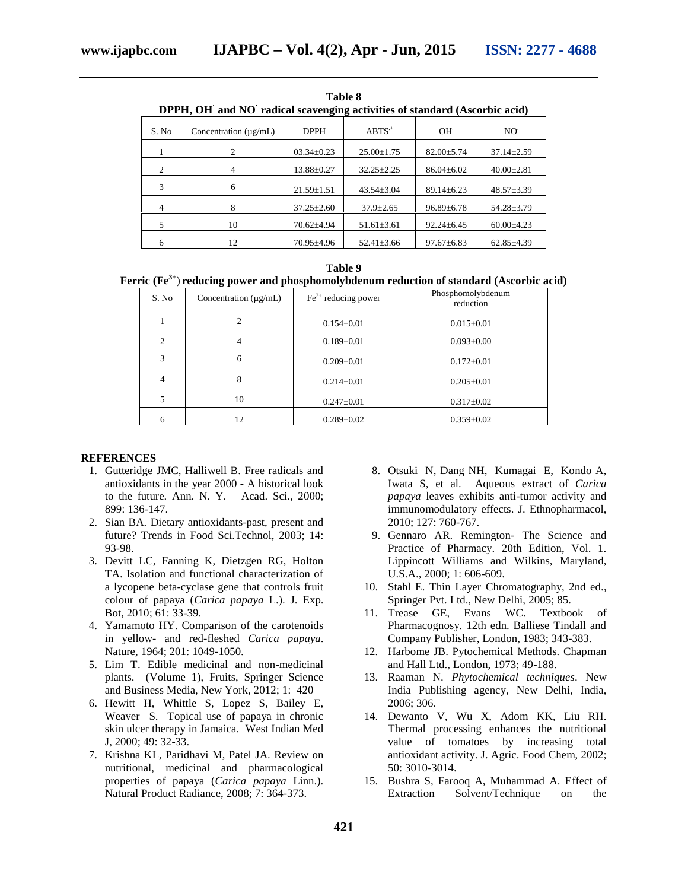| 1 apie 8<br>DPPH, OH and NO radical scavenging activities of standard (Ascorbic acid) |                            |                  |                  |                  |                  |
|---------------------------------------------------------------------------------------|----------------------------|------------------|------------------|------------------|------------------|
| S. No                                                                                 | Concentration $(\mu g/mL)$ | <b>DPPH</b>      | $ABTS+$          | $OH+$            | NO <sup>.</sup>  |
|                                                                                       | 2                          | $03.34 \pm 0.23$ | $25.00 \pm 1.75$ | $82.00 \pm 5.74$ | $37.14 \pm 2.59$ |
| $\mathfrak{D}$                                                                        | $\overline{4}$             | $13.88 \pm 0.27$ | $32.25 \pm 2.25$ | $86.04 \pm 6.02$ | $40.00 \pm 2.81$ |
| 3                                                                                     | 6                          | $21.59 \pm 1.51$ | $43.54 \pm 3.04$ | $89.14 \pm 6.23$ | $48.57 \pm 3.39$ |
| 4                                                                                     | 8                          | $37.25 \pm 2.60$ | $37.9 \pm 2.65$  | $96.89 \pm 6.78$ | $54.28 \pm 3.79$ |
| 5                                                                                     | 10                         | $70.62{\pm}4.94$ | $51.61 \pm 3.61$ | $92.24 \pm 6.45$ | $60.00 \pm 4.23$ |
| 6                                                                                     | 12                         | $70.95 \pm 4.96$ | $52.41 \pm 3.66$ | $97.67 \pm 6.83$ | $62.85\pm4.39$   |

| Table 8<br>DPPH, OH and NO radical scavenging activities of standard (Ascorbic acid) |                                |             |          |    |                 |  |
|--------------------------------------------------------------------------------------|--------------------------------|-------------|----------|----|-----------------|--|
| S. No                                                                                | Concentration $(\mu \rho /mL)$ | <b>DPPH</b> | $ABTS^+$ | ΩH | NO <sup>.</sup> |  |

| Table 9 |  |
|---------|--|
|         |  |

# **Ferric (Fe3+**) **reducing power and phosphomolybdenum reduction of standard (Ascorbic acid)**

| S. No | Concentration $(\mu g/mL)$ | $Fe3+$ reducing power | Phosphomolybdenum<br>reduction |
|-------|----------------------------|-----------------------|--------------------------------|
|       | 2                          | $0.154 \pm 0.01$      | $0.015 \pm 0.01$               |
| 2     |                            | $0.189 \pm 0.01$      | $0.093 \pm 0.00$               |
| 3     | 6                          | $0.209 \pm 0.01$      | $0.172 \pm 0.01$               |
| 4     | 8                          | $0.214 \pm 0.01$      | $0.205 \pm 0.01$               |
| 5     | 10                         | $0.247 \pm 0.01$      | $0.317 \pm 0.02$               |
| 6     | 12                         | $0.289 \pm 0.02$      | $0.359 \pm 0.02$               |

#### **REFERENCES**

- 1. Gutteridge JMC, Halliwell B. Free radicals and antioxidants in the year 2000 - A historical look to the future. Ann. N. Y. Acad. Sci., 2000; 899: 136-147.
- 2. Sian BA. Dietary antioxidants-past, present and future? Trends in Food Sci.Technol, 2003; 14: 93-98.
- 3. Devitt LC, Fanning K, Dietzgen RG, Holton TA. Isolation and functional characterization of a lycopene beta-cyclase gene that controls fruit colour of papaya (*Carica papaya* L.). J. Exp. Bot, 2010; 61: 33-39.
- 4. Yamamoto HY. Comparison of the carotenoids in yellow- and red-fleshed *Carica papaya*. Nature, 1964; 201: 1049-1050.
- 5. Lim T. Edible medicinal and non-medicinal plants. (Volume 1), Fruits, Springer Science and Business Media, New York, 2012; 1: 420
- 6. Hewitt H, Whittle S, Lopez S, Bailey E, Weaver S. Topical use of papaya in chronic skin ulcer therapy in Jamaica. West Indian Med J, 2000; 49: 32-33.
- 7. Krishna KL, Paridhavi M, Patel JA. Review on nutritional, medicinal and pharmacological properties of papaya (*Carica papaya* Linn.). Natural Product Radiance, 2008; 7: 364-373.
- 8. Otsuki N, Dang NH, Kumagai E, Kondo A, Iwata S, et al. Aqueous extract of *Carica papaya* leaves exhibits anti-tumor activity and immunomodulatory effects. J. Ethnopharmacol, 2010; 127: 760-767.
- 9. Gennaro AR. Remington- The Science and Practice of Pharmacy. 20th Edition, Vol. 1. Lippincott Williams and Wilkins, Maryland, U.S.A., 2000; 1: 606-609.
- 10. Stahl E. Thin Layer Chromatography, 2nd ed., Springer Pvt. Ltd., New Delhi, 2005; 85.
- 11. Trease GE, Evans WC. Textbook of Pharmacognosy. 12th edn. Balliese Tindall and Company Publisher, London, 1983; 343-383.
- 12. Harbome JB. Pytochemical Methods. Chapman and Hall Ltd., London, 1973; 49-188.
- 13. Raaman N. *Phytochemical techniques*. New India Publishing agency, New Delhi, India, 2006; 306.
- 14. Dewanto V, Wu X, Adom KK, Liu RH. Thermal processing enhances the nutritional value of tomatoes by increasing total antioxidant activity. J. Agric. Food Chem, 2002; 50: 3010-3014.
- 15. Bushra S, Farooq A, Muhammad A. Effect of Extraction Solvent/Technique on the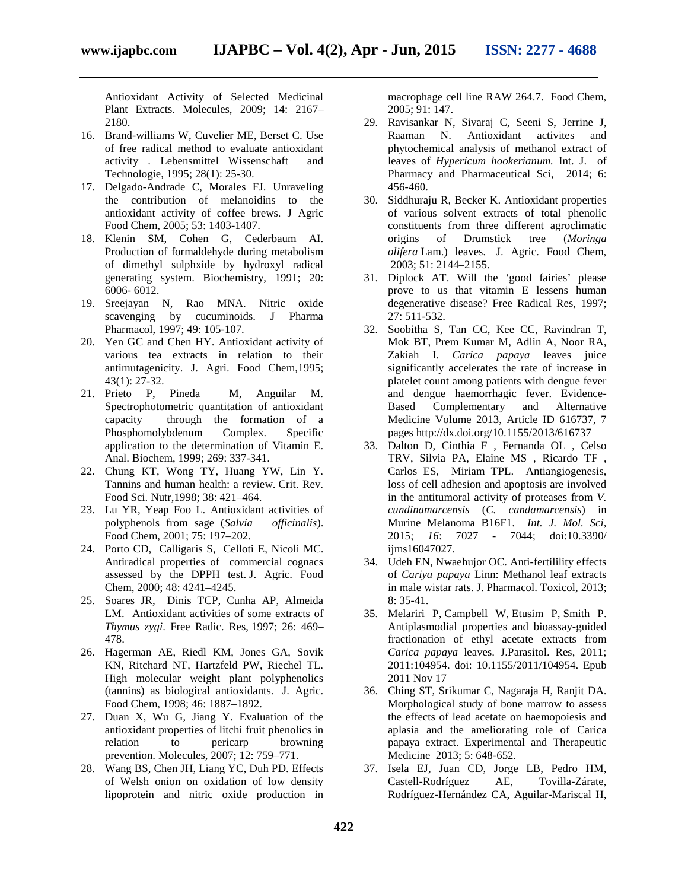Antioxidant Activity of Selected Medicinal Plant Extracts. Molecules, 2009; 14: 2167– 2180.

- 16. Brand-williams W, Cuvelier ME, Berset C. Use of free radical method to evaluate antioxidant activity . Lebensmittel Wissenschaft and Technologie, 1995; 28(1): 25-30.
- 17. Delgado-Andrade C, Morales FJ. Unraveling the contribution of melanoidins to the antioxidant activity of coffee brews. J Agric Food Chem, 2005; 53: 1403-1407.
- 18. Klenin SM, Cohen G, Cederbaum AI. Production of formaldehyde during metabolism of dimethyl sulphxide by hydroxyl radical generating system. Biochemistry, 1991; 20: 6006- 6012.
- 19. Sreejayan N, Rao MNA. Nitric oxide scavenging by cucuminoids. J Pharma Pharmacol, 1997; 49: 105-107.
- 20. Yen GC and Chen HY. Antioxidant activity of various tea extracts in relation to their antimutagenicity. J. Agri. Food Chem,1995; 43(1): 27-32.
- 21. Prieto P, Pineda M, Anguilar M. Spectrophotometric quantitation of antioxidant capacity through the formation of a Phosphomolybdenum Complex. Specific application to the determination of Vitamin E. Anal. Biochem, 1999; 269: 337-341.
- 22. Chung KT, Wong TY, Huang YW, Lin Y. Tannins and human health: a review. Crit. Rev. Food Sci. Nutr,1998; 38: 421–464.
- 23. Lu YR, Yeap Foo L. Antioxidant activities of polyphenols from sage (*Salvia officinalis*). Food Chem, 2001; 75: 197–202.
- 24. Porto CD, Calligaris S, Celloti E, Nicoli MC. Antiradical properties of commercial cognacs assessed by the DPPH test. J. Agric. Food Chem, 2000; 48: 4241–4245.
- 25. Soares JR, Dinis TCP, Cunha AP, Almeida LM. Antioxidant activities of some extracts of *Thymus zygi*. Free Radic. Res, 1997; 26: 469– 478.
- 26. Hagerman AE, Riedl KM, Jones GA, Sovik KN, Ritchard NT, Hartzfeld PW, Riechel TL. High molecular weight plant polyphenolics (tannins) as biological antioxidants. J. Agric. Food Chem, 1998; 46: 1887–1892.
- 27. Duan X, Wu G, Jiang Y. Evaluation of the antioxidant properties of litchi fruit phenolics in<br>relation to pericarp browning relation to pericarp browning prevention. Molecules, 2007; 12: 759–771.
- 28. Wang BS, Chen JH, Liang YC, Duh PD. Effects of Welsh onion on oxidation of low density lipoprotein and nitric oxide production in

macrophage cell line RAW 264.7. Food Chem, 2005; 91: 147.

- 29. Ravisankar N, Sivaraj C, Seeni S, Jerrine J, Raaman N. Antioxidant activites and phytochemical analysis of methanol extract of leaves of *Hypericum hookerianum.* Int. J. of Pharmacy and Pharmaceutical Sci, 2014; 6: 456-460.
- 30. Siddhuraju R, Becker K. Antioxidant properties of various solvent extracts of total phenolic constituents from three different agroclimatic origins of Drumstick tree (*Moringa olifera* Lam.) leaves. J. Agric. Food Chem, 2003; 51: 2144–2155.
- 31. Diplock AT. Will the 'good fairies' please prove to us that vitamin E lessens human degenerative disease? Free Radical Res, 1997; 27: 511-532.
- 32. Soobitha S, Tan CC, Kee CC, Ravindran T, Mok BT, Prem Kumar M, Adlin A, Noor RA, Zakiah I. *Carica papaya* leaves juice significantly accelerates the rate of increase in platelet count among patients with dengue fever and dengue haemorrhagic fever. Evidence- Based Complementary and Alternative Medicine Volume 2013, Article ID 616737, 7 pages http://dx.doi.org/10.1155/2013/616737
- 33. Dalton D, Cinthia F , Fernanda OL , Celso TRV, Silvia PA, Elaine MS , Ricardo TF , Carlos ES, Miriam TPL. Antiangiogenesis, loss of cell adhesion and apoptosis are involved in the antitumoral activity of proteases from *V. cundinamarcensis* (*C. candamarcensis*) in Murine Melanoma B16F1. *Int. J. Mol. Sci,* 2015; *16*: 7027 - 7044; doi:10.3390/ ijms16047027.
- 34. Udeh EN, Nwaehujor OC. Anti-fertilility effects of *Cariya papaya* Linn: Methanol leaf extracts in male wistar rats. J. Pharmacol. Toxicol, 2013; 8: 35-41.
- 35. Melariri P, Campbell W, Etusim P, Smith P. Antiplasmodial properties and bioassay-guided fractionation of ethyl acetate extracts from *Carica papaya* leaves. J.Parasitol. Res, 2011; 2011:104954. doi: 10.1155/2011/104954. Epub 2011 Nov 17
- 36. Ching ST, Srikumar C, Nagaraja H, Ranjit DA. Morphological study of bone marrow to assess the effects of lead acetate on haemopoiesis and aplasia and the ameliorating role of Carica papaya extract. Experimental and Therapeutic Medicine 2013; 5: 648-652.
- 37. Isela EJ, Juan CD, Jorge LB, Pedro HM, Castell-Rodríguez AE, Tovilla-Zárate, Rodríguez-Hernández CA, Aguilar-Mariscal H,